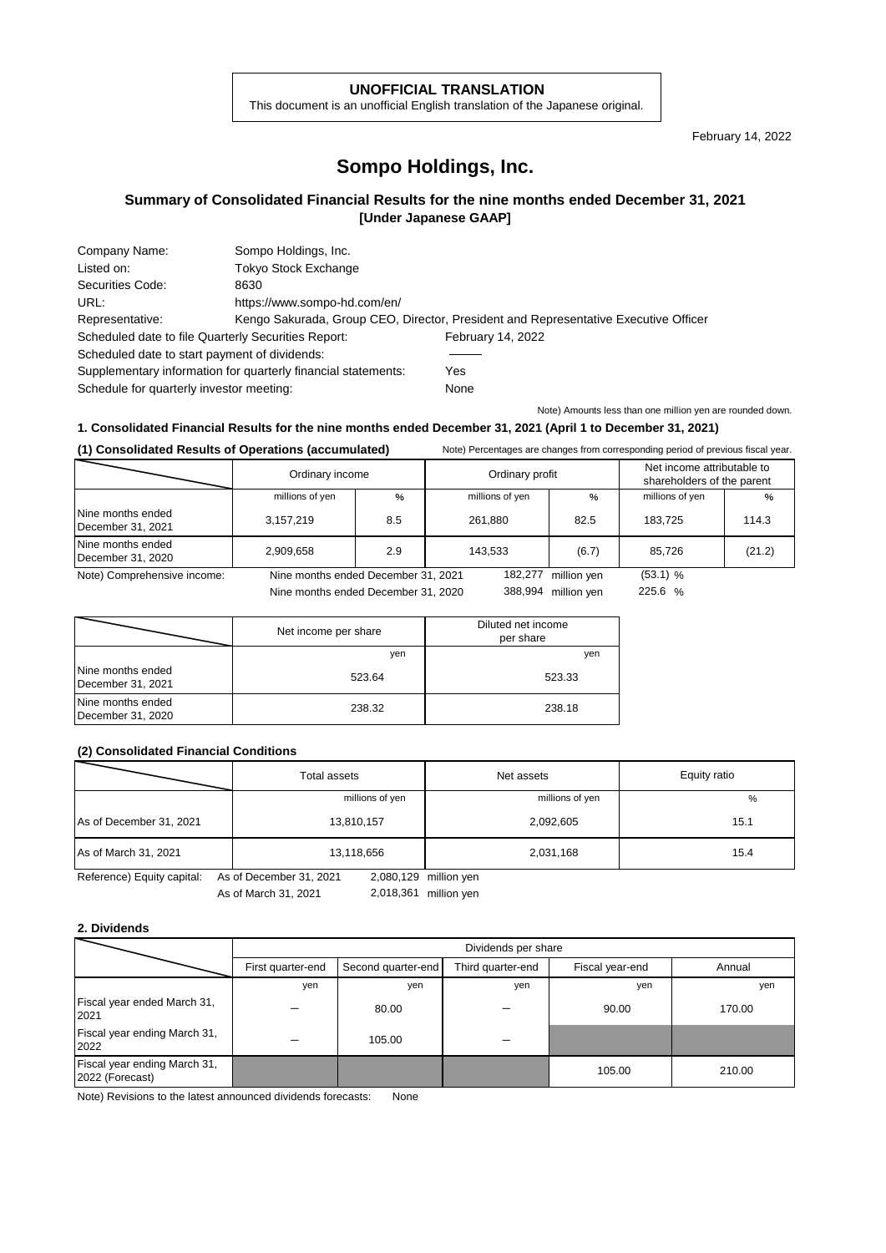### **UNOFFICIAL TRANSLATION**

This document is an unofficial English translation of the Japanese original.

February 14, 2022

# **Sompo Holdings, Inc.**

## **Summary of Consolidated Financial Results for the nine months ended December 31, 2021 [Under Japanese GAAP]**

| Company Name:                                                 | Sompo Holdings, Inc.         |                                                                                     |
|---------------------------------------------------------------|------------------------------|-------------------------------------------------------------------------------------|
| Listed on:                                                    | <b>Tokyo Stock Exchange</b>  |                                                                                     |
| Securities Code:                                              | 8630                         |                                                                                     |
| URL:                                                          | https://www.sompo-hd.com/en/ |                                                                                     |
| Representative:                                               |                              | Kengo Sakurada, Group CEO, Director, President and Representative Executive Officer |
| Scheduled date to file Quarterly Securities Report:           |                              | February 14, 2022                                                                   |
| Scheduled date to start payment of dividends:                 |                              |                                                                                     |
| Supplementary information for quarterly financial statements: |                              | Yes                                                                                 |
| Schedule for quarterly investor meeting:                      |                              | None                                                                                |

Note) Amounts less than one million yen are rounded down.

### **1. Consolidated Financial Results for the nine months ended December 31, 2021 (April 1 to December 31, 2021)**

| (1) Consolidated Results of Operations (accumulated) |                                     |      | Note) Percentages are changes from corresponding period of previous fiscal year. |                 |             |                                                          |        |
|------------------------------------------------------|-------------------------------------|------|----------------------------------------------------------------------------------|-----------------|-------------|----------------------------------------------------------|--------|
|                                                      | Ordinary income                     |      |                                                                                  | Ordinary profit |             | Net income attributable to<br>shareholders of the parent |        |
|                                                      | millions of yen                     | $\%$ |                                                                                  | millions of yen | $\%$        | millions of yen                                          | $\%$   |
| Nine months ended<br>December 31, 2021               | 3,157,219                           | 8.5  |                                                                                  | 261.880         | 82.5        | 183.725                                                  | 114.3  |
| Nine months ended<br>December 31, 2020               | 2,909,658                           | 2.9  |                                                                                  | 143.533         | (6.7)       | 85.726                                                   | (21.2) |
| Note) Comprehensive income:                          | Nine months ended December 31, 2021 |      |                                                                                  | 182.277         | million yen | $(53.1)$ %                                               |        |
|                                                      | Nine months ended December 31, 2020 |      |                                                                                  | 388,994         | million ven | 225.6 %                                                  |        |

Nine months ended December 31, 2020

|                                        | Net income per share | Diluted net income<br>per share |
|----------------------------------------|----------------------|---------------------------------|
|                                        | yen                  | yen                             |
| Nine months ended<br>December 31, 2021 | 523.64               | 523.33                          |
| Nine months ended<br>December 31, 2020 | 238.32               | 238.18                          |

#### **(2) Consolidated Financial Conditions**

|                         | Total assets    | Net assets      | Equity ratio |
|-------------------------|-----------------|-----------------|--------------|
|                         | millions of yen | millions of yen | %            |
| As of December 31, 2021 | 13,810,157      | 2,092,605       | 15.1         |
| As of March 31, 2021    | 13,118,656      | 2,031,168       | 15.4         |

Reference) Equity capital: As of December 31, 2021 2,080,129 million yen

As of March 31, 2021 2,018,361 million yen

### **2. Dividends**

|                                                 |                   | Dividends per share                                                  |     |        |        |  |  |  |
|-------------------------------------------------|-------------------|----------------------------------------------------------------------|-----|--------|--------|--|--|--|
|                                                 | First quarter-end | Third quarter-end<br>Second quarter-end<br>Fiscal year-end<br>Annual |     |        |        |  |  |  |
|                                                 | yen               | yen                                                                  | yen | yen    | yen    |  |  |  |
| Fiscal year ended March 31,<br>2021             |                   | 80.00                                                                |     | 90.00  | 170.00 |  |  |  |
| Fiscal year ending March 31,<br>2022            |                   | 105.00                                                               |     |        |        |  |  |  |
| Fiscal year ending March 31,<br>2022 (Forecast) |                   |                                                                      |     | 105.00 | 210.00 |  |  |  |

Note) Revisions to the latest announced dividends forecasts: None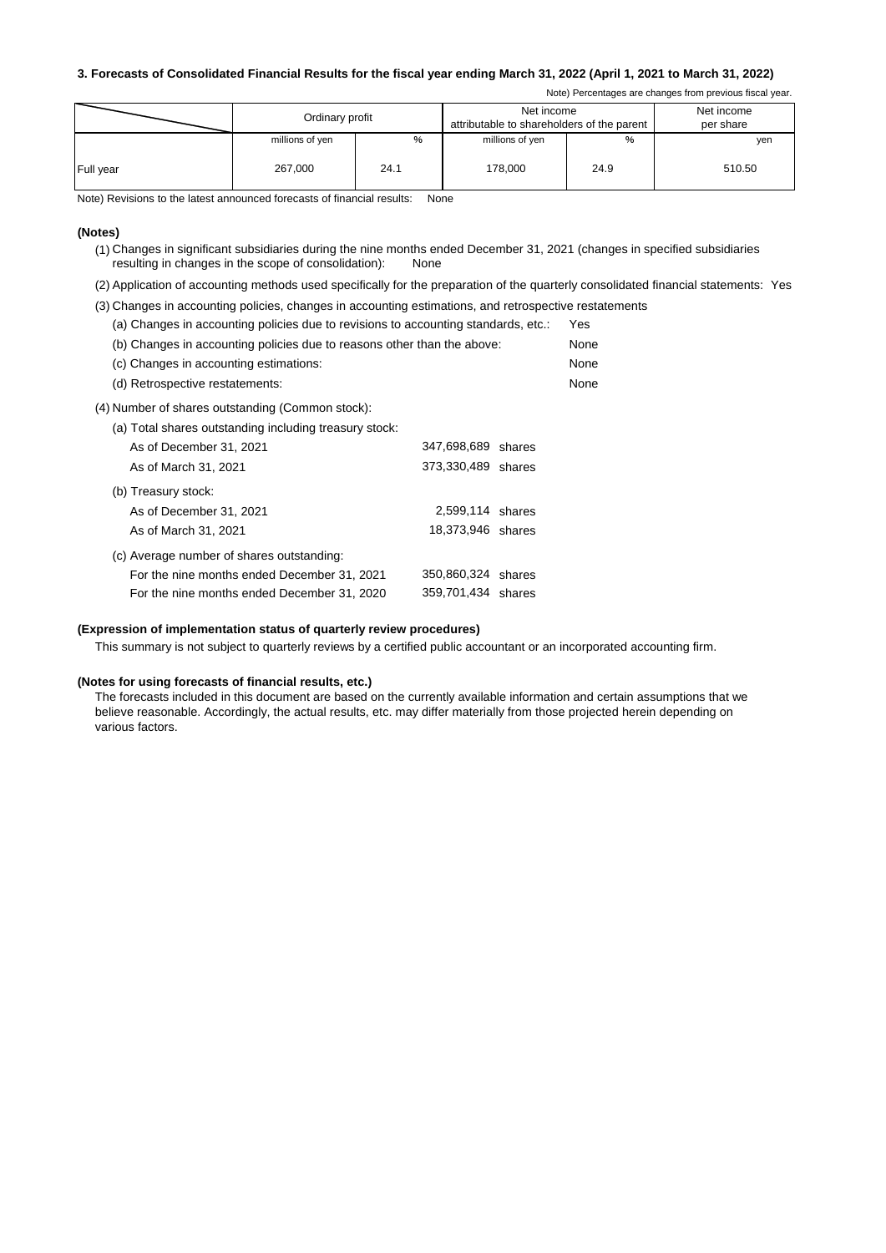#### **3. Forecasts of Consolidated Financial Results for the fiscal year ending March 31, 2022 (April 1, 2021 to March 31, 2022)**

Note) Percentages are changes from previous fiscal year.

|                  | Ordinary profit |      | Net income<br>attributable to shareholders of the parent |      | Net income<br>per share |
|------------------|-----------------|------|----------------------------------------------------------|------|-------------------------|
|                  | millions of yen | $\%$ | millions of yen                                          | %    | yen                     |
| <b>Full year</b> | 267.000         | 24.1 | 178.000                                                  | 24.9 | 510.50                  |

Note) Revisions to the latest announced forecasts of financial results: None

#### **(Notes)**

(1) Changes in significant subsidiaries during the nine months ended December 31, 2021 (changes in specified subsidiaries resulting in changes in the scope of consolidation): None

(2) Application of accounting methods used specifically for the preparation of the quarterly consolidated financial statements: Yes

- (3) Changes in accounting policies, changes in accounting estimations, and retrospective restatements
	- (a) Changes in accounting policies due to revisions to accounting standards, etc.: Yes

| (b) Changes in accounting policies due to reasons other than the above: | None |
|-------------------------------------------------------------------------|------|
| (c) Changes in accounting estimations:                                  | None |
| (d) Retrospective restatements:                                         | None |

(4) Number of shares outstanding (Common stock):

|  | (a) Total shares outstanding including treasury stock: |  |  |
|--|--------------------------------------------------------|--|--|
|  |                                                        |  |  |

| As of December 31, 2021                     | 347,698,689 shares |  |
|---------------------------------------------|--------------------|--|
| As of March 31, 2021                        | 373,330,489 shares |  |
| (b) Treasury stock:                         |                    |  |
| As of December 31, 2021                     | 2,599,114 shares   |  |
| As of March 31, 2021                        | 18,373,946 shares  |  |
| (c) Average number of shares outstanding:   |                    |  |
| For the nine months ended December 31, 2021 | 350,860,324 shares |  |
| For the nine months ended December 31, 2020 | 359,701,434 shares |  |

### **(Expression of implementation status of quarterly review procedures)**

This summary is not subject to quarterly reviews by a certified public accountant or an incorporated accounting firm.

#### **(Notes for using forecasts of financial results, etc.)**

The forecasts included in this document are based on the currently available information and certain assumptions that we believe reasonable. Accordingly, the actual results, etc. may differ materially from those projected herein depending on various factors.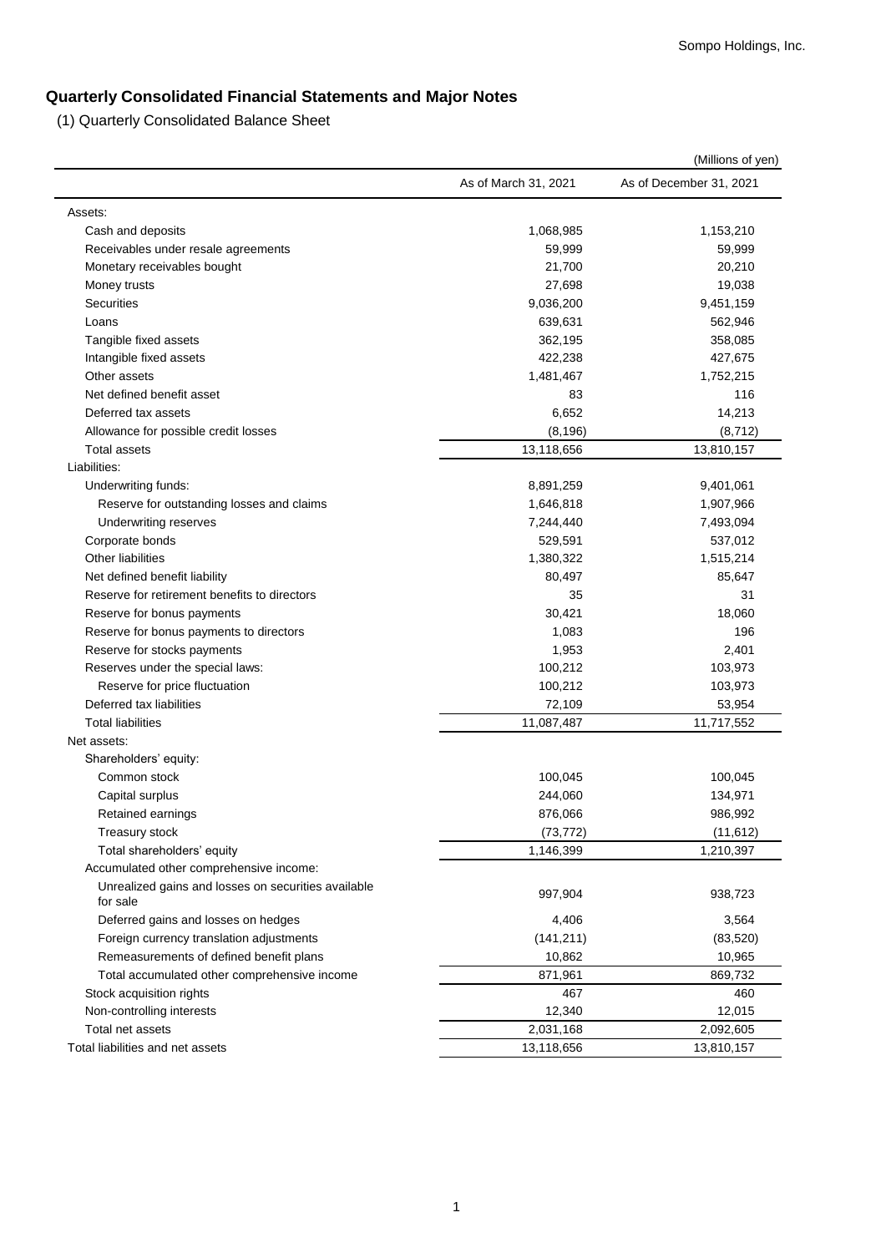# **Quarterly Consolidated Financial Statements and Major Notes**

(1) Quarterly Consolidated Balance Sheet

|                                                     |                      | (Millions of yen)       |
|-----------------------------------------------------|----------------------|-------------------------|
|                                                     | As of March 31, 2021 | As of December 31, 2021 |
| Assets:                                             |                      |                         |
| Cash and deposits                                   | 1,068,985            | 1,153,210               |
| Receivables under resale agreements                 | 59,999               | 59,999                  |
| Monetary receivables bought                         | 21,700               | 20,210                  |
| Money trusts                                        | 27,698               | 19,038                  |
| <b>Securities</b>                                   | 9,036,200            | 9,451,159               |
| Loans                                               | 639,631              | 562,946                 |
| Tangible fixed assets                               | 362,195              | 358,085                 |
| Intangible fixed assets                             | 422,238              | 427,675                 |
| Other assets                                        | 1,481,467            | 1,752,215               |
| Net defined benefit asset                           | 83                   | 116                     |
| Deferred tax assets                                 | 6,652                | 14,213                  |
| Allowance for possible credit losses                | (8, 196)             | (8, 712)                |
| <b>Total assets</b>                                 | 13,118,656           | 13,810,157              |
| Liabilities:                                        |                      |                         |
| Underwriting funds:                                 | 8,891,259            | 9,401,061               |
| Reserve for outstanding losses and claims           | 1,646,818            | 1,907,966               |
| <b>Underwriting reserves</b>                        | 7,244,440            | 7,493,094               |
| Corporate bonds                                     | 529,591              | 537,012                 |
| <b>Other liabilities</b>                            | 1,380,322            | 1,515,214               |
| Net defined benefit liability                       | 80,497               | 85,647                  |
| Reserve for retirement benefits to directors        | 35                   | 31                      |
| Reserve for bonus payments                          | 30,421               | 18,060                  |
| Reserve for bonus payments to directors             | 1,083                | 196                     |
| Reserve for stocks payments                         | 1,953                | 2,401                   |
| Reserves under the special laws:                    | 100,212              | 103,973                 |
| Reserve for price fluctuation                       | 100,212              | 103,973                 |
| Deferred tax liabilities                            | 72,109               | 53,954                  |
| <b>Total liabilities</b>                            | 11,087,487           | 11,717,552              |
| Net assets:                                         |                      |                         |
| Shareholders' equity:                               |                      |                         |
| Common stock                                        | 100,045              | 100,045                 |
| Capital surplus                                     | 244,060              | 134,971                 |
| Retained earnings                                   | 876,066              | 986,992                 |
| Treasury stock                                      | (73, 772)            | (11, 612)               |
| Total shareholders' equity                          | 1,146,399            | 1,210,397               |
| Accumulated other comprehensive income:             |                      |                         |
| Unrealized gains and losses on securities available |                      |                         |
| for sale                                            | 997,904              | 938,723                 |
| Deferred gains and losses on hedges                 | 4,406                | 3,564                   |
| Foreign currency translation adjustments            | (141, 211)           | (83, 520)               |
| Remeasurements of defined benefit plans             | 10,862               | 10,965                  |
| Total accumulated other comprehensive income        | 871,961              | 869,732                 |
| Stock acquisition rights                            | 467                  | 460                     |
| Non-controlling interests                           | 12,340               | 12,015                  |
| Total net assets                                    | 2,031,168            | 2,092,605               |
| Total liabilities and net assets                    | 13,118,656           | 13,810,157              |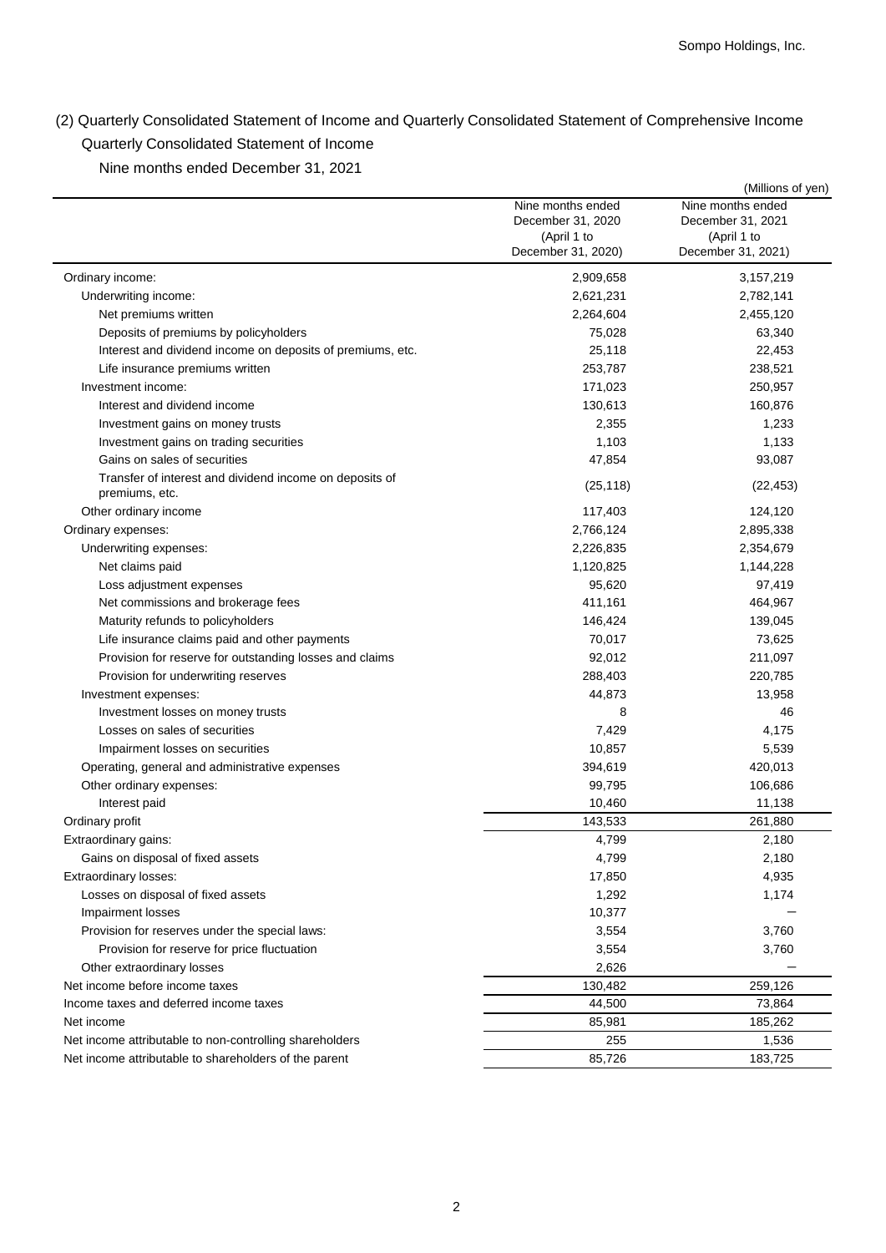(2) Quarterly Consolidated Statement of Income and Quarterly Consolidated Statement of Comprehensive Income Quarterly Consolidated Statement of Income

Nine months ended December 31, 2021

|                                                                           |                    | (Millions of yen)  |
|---------------------------------------------------------------------------|--------------------|--------------------|
|                                                                           | Nine months ended  | Nine months ended  |
|                                                                           | December 31, 2020  | December 31, 2021  |
|                                                                           | (April 1 to        | (April 1 to        |
|                                                                           | December 31, 2020) | December 31, 2021) |
| Ordinary income:                                                          | 2,909,658          | 3,157,219          |
| Underwriting income:                                                      | 2,621,231          | 2,782,141          |
| Net premiums written                                                      | 2,264,604          | 2,455,120          |
| Deposits of premiums by policyholders                                     | 75,028             | 63,340             |
| Interest and dividend income on deposits of premiums, etc.                | 25,118             | 22,453             |
| Life insurance premiums written                                           | 253,787            | 238,521            |
| Investment income:                                                        | 171,023            | 250,957            |
| Interest and dividend income                                              | 130,613            | 160,876            |
| Investment gains on money trusts                                          | 2,355              | 1,233              |
| Investment gains on trading securities                                    | 1,103              | 1,133              |
| Gains on sales of securities                                              | 47,854             | 93,087             |
| Transfer of interest and dividend income on deposits of<br>premiums, etc. | (25, 118)          | (22, 453)          |
| Other ordinary income                                                     | 117,403            | 124,120            |
| Ordinary expenses:                                                        | 2,766,124          | 2,895,338          |
| Underwriting expenses:                                                    | 2,226,835          | 2,354,679          |
| Net claims paid                                                           | 1,120,825          | 1,144,228          |
| Loss adjustment expenses                                                  | 95,620             | 97,419             |
| Net commissions and brokerage fees                                        | 411,161            | 464,967            |
| Maturity refunds to policyholders                                         | 146,424            | 139,045            |
| Life insurance claims paid and other payments                             | 70,017             | 73,625             |
| Provision for reserve for outstanding losses and claims                   | 92,012             | 211,097            |
| Provision for underwriting reserves                                       | 288,403            | 220,785            |
| Investment expenses:                                                      | 44,873             | 13,958             |
| Investment losses on money trusts                                         | 8                  | 46                 |
| Losses on sales of securities                                             | 7,429              | 4,175              |
| Impairment losses on securities                                           | 10,857             | 5,539              |
| Operating, general and administrative expenses                            | 394,619            | 420,013            |
| Other ordinary expenses:                                                  | 99,795             | 106,686            |
| Interest paid                                                             | 10,460             | 11,138             |
| Ordinary profit                                                           | 143,533            | 261,880            |
| Extraordinary gains:                                                      | 4,799              | 2,180              |
| Gains on disposal of fixed assets                                         | 4,799              | 2,180              |
| Extraordinary losses:                                                     | 17,850             | 4,935              |
| Losses on disposal of fixed assets                                        | 1,292              | 1,174              |
| Impairment losses                                                         | 10,377             |                    |
| Provision for reserves under the special laws:                            | 3,554              | 3,760              |
| Provision for reserve for price fluctuation                               | 3,554              | 3,760              |
| Other extraordinary losses                                                | 2,626              |                    |
| Net income before income taxes                                            | 130,482            | 259,126            |
| Income taxes and deferred income taxes                                    | 44,500             | 73,864             |
| Net income                                                                | 85,981             | 185,262            |
| Net income attributable to non-controlling shareholders                   | 255                | 1,536              |
| Net income attributable to shareholders of the parent                     | 85,726             | 183,725            |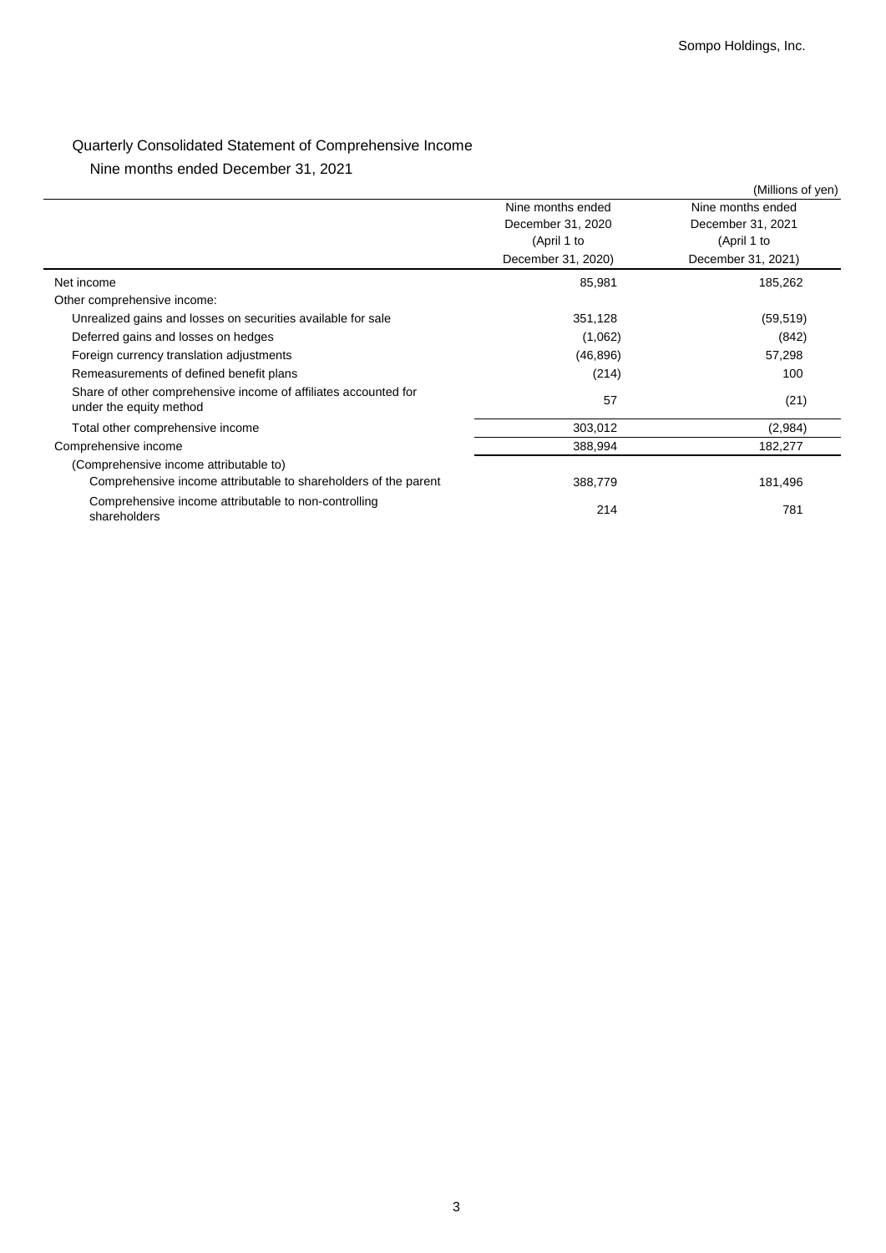# Quarterly Consolidated Statement of Comprehensive Income

Nine months ended December 31, 2021

|                                                                                            |                    | (Millions of yen)  |
|--------------------------------------------------------------------------------------------|--------------------|--------------------|
|                                                                                            | Nine months ended  | Nine months ended  |
|                                                                                            | December 31, 2020  | December 31, 2021  |
|                                                                                            | (April 1 to        | (April 1 to        |
|                                                                                            | December 31, 2020) | December 31, 2021) |
| Net income                                                                                 | 85,981             | 185,262            |
| Other comprehensive income:                                                                |                    |                    |
| Unrealized gains and losses on securities available for sale                               | 351,128            | (59, 519)          |
| Deferred gains and losses on hedges                                                        | (1,062)            | (842)              |
| Foreign currency translation adjustments                                                   | (46, 896)          | 57,298             |
| Remeasurements of defined benefit plans                                                    | (214)              | 100                |
| Share of other comprehensive income of affiliates accounted for<br>under the equity method | 57                 | (21)               |
| Total other comprehensive income                                                           | 303,012            | (2,984)            |
| Comprehensive income                                                                       | 388,994            | 182,277            |
| (Comprehensive income attributable to)                                                     |                    |                    |
| Comprehensive income attributable to shareholders of the parent                            | 388,779            | 181,496            |
| Comprehensive income attributable to non-controlling<br>shareholders                       | 214                | 781                |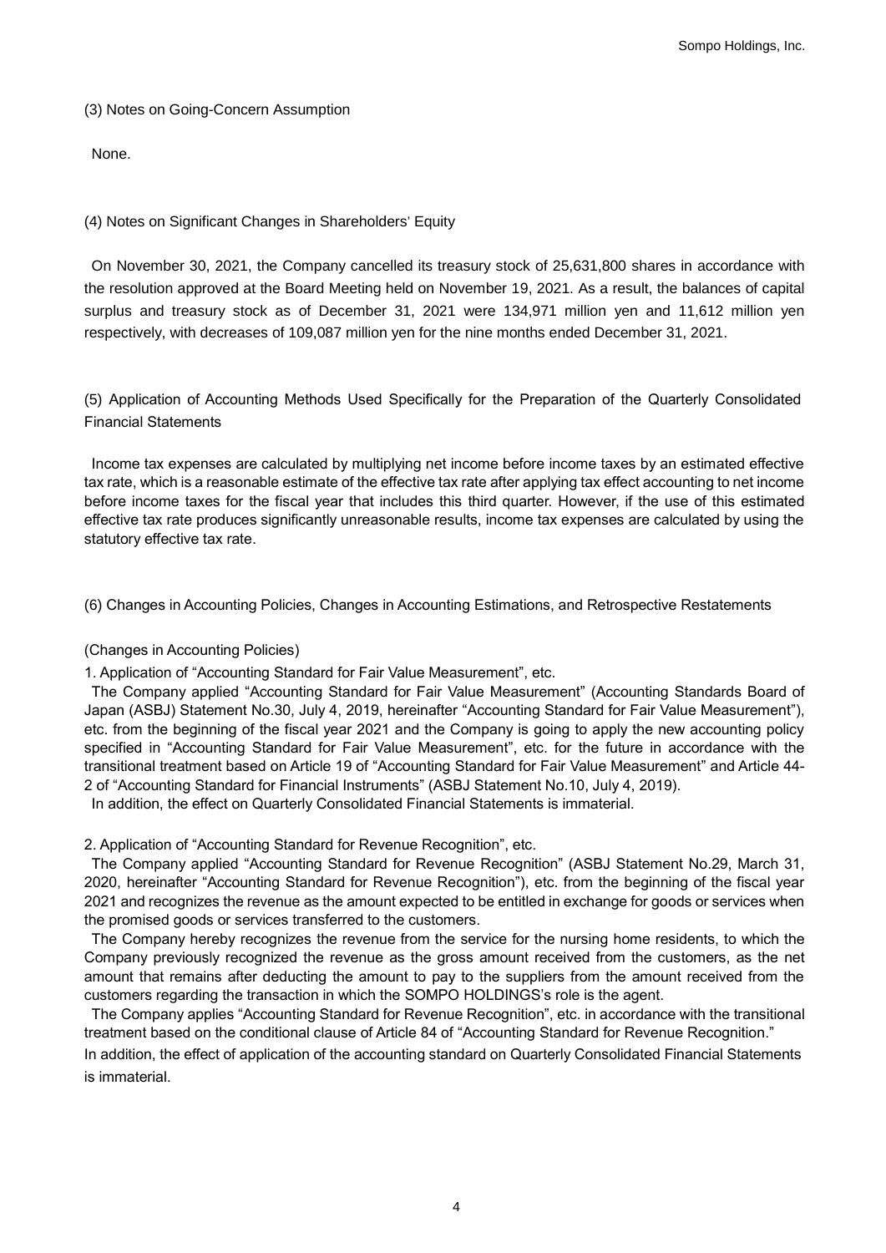## (3) Notes on Going-Concern Assumption

None.

## (4) Notes on Significant Changes in Shareholders' Equity

On November 30, 2021, the Company cancelled its treasury stock of 25,631,800 shares in accordance with the resolution approved at the Board Meeting held on November 19, 2021. As a result, the balances of capital surplus and treasury stock as of December 31, 2021 were 134,971 million yen and 11,612 million yen respectively, with decreases of 109,087 million yen for the nine months ended December 31, 2021.

(5) Application of Accounting Methods Used Specifically for the Preparation of the Quarterly Consolidated Financial Statements

Income tax expenses are calculated by multiplying net income before income taxes by an estimated effective tax rate, which is a reasonable estimate of the effective tax rate after applying tax effect accounting to net income before income taxes for the fiscal year that includes this third quarter. However, if the use of this estimated effective tax rate produces significantly unreasonable results, income tax expenses are calculated by using the statutory effective tax rate.

(6) Changes in Accounting Policies, Changes in Accounting Estimations, and Retrospective Restatements

## (Changes in Accounting Policies)

1. Application of "Accounting Standard for Fair Value Measurement", etc.

The Company applied "Accounting Standard for Fair Value Measurement" (Accounting Standards Board of Japan (ASBJ) Statement No.30, July 4, 2019, hereinafter "Accounting Standard for Fair Value Measurement"), etc. from the beginning of the fiscal year 2021 and the Company is going to apply the new accounting policy specified in "Accounting Standard for Fair Value Measurement", etc. for the future in accordance with the transitional treatment based on Article 19 of "Accounting Standard for Fair Value Measurement" and Article 44- 2 of "Accounting Standard for Financial Instruments" (ASBJ Statement No.10, July 4, 2019).

In addition, the effect on Quarterly Consolidated Financial Statements is immaterial.

2. Application of "Accounting Standard for Revenue Recognition", etc.

The Company applied "Accounting Standard for Revenue Recognition" (ASBJ Statement No.29, March 31, 2020, hereinafter "Accounting Standard for Revenue Recognition"), etc. from the beginning of the fiscal year 2021 and recognizes the revenue as the amount expected to be entitled in exchange for goods or services when the promised goods or services transferred to the customers.

The Company hereby recognizes the revenue from the service for the nursing home residents, to which the Company previously recognized the revenue as the gross amount received from the customers, as the net amount that remains after deducting the amount to pay to the suppliers from the amount received from the customers regarding the transaction in which the SOMPO HOLDINGS's role is the agent.

The Company applies "Accounting Standard for Revenue Recognition", etc. in accordance with the transitional treatment based on the conditional clause of Article 84 of "Accounting Standard for Revenue Recognition."

In addition, the effect of application of the accounting standard on Quarterly Consolidated Financial Statements is immaterial.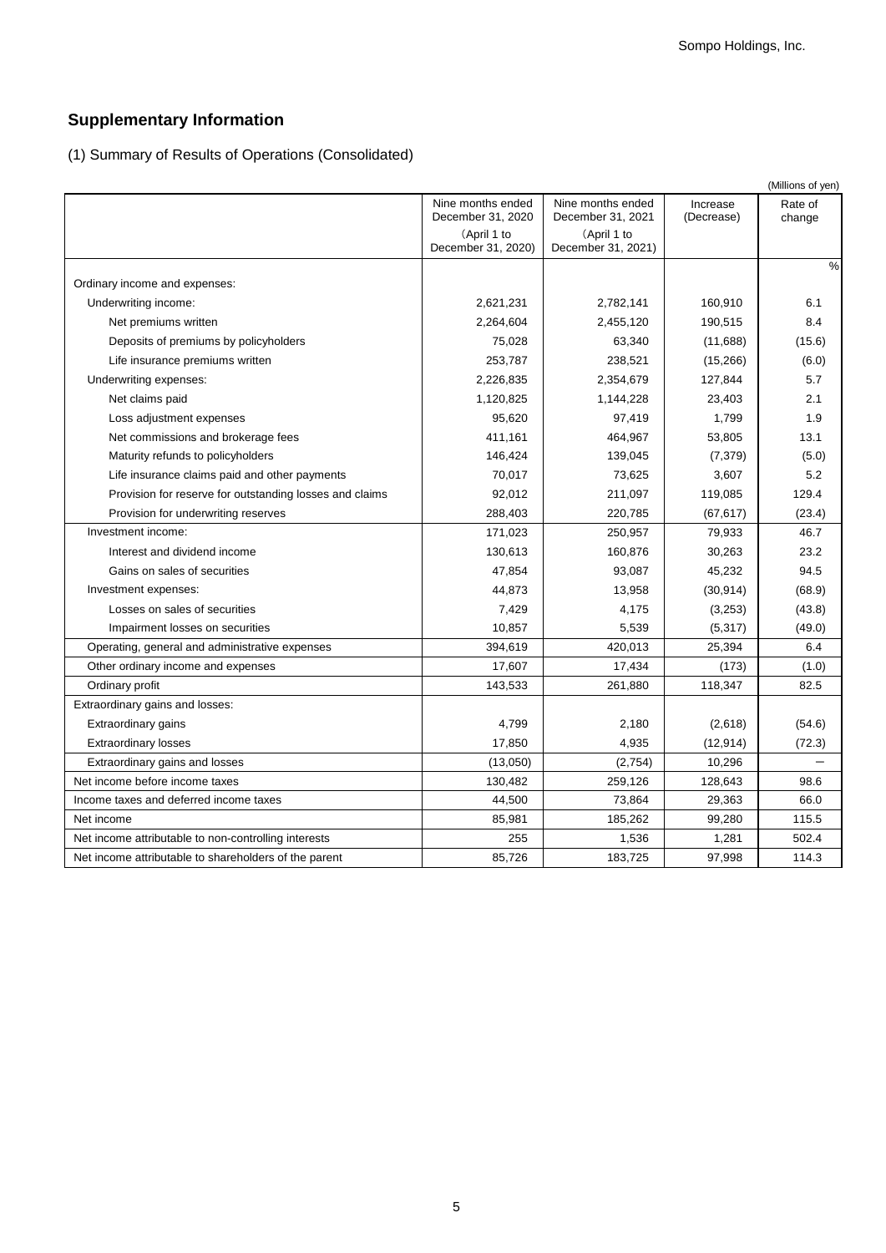# **Supplementary Information**

(1) Summary of Results of Operations (Consolidated)

|                                                         |                                        |                                        |                        | (Millions of yen) |
|---------------------------------------------------------|----------------------------------------|----------------------------------------|------------------------|-------------------|
|                                                         | Nine months ended<br>December 31, 2020 | Nine months ended<br>December 31, 2021 | Increase<br>(Decrease) | Rate of<br>change |
|                                                         | (April 1 to<br>December 31, 2020)      | (April 1 to<br>December 31, 2021)      |                        |                   |
| Ordinary income and expenses:                           |                                        |                                        |                        | $\%$              |
| Underwriting income:                                    | 2,621,231                              | 2,782,141                              | 160,910                | 6.1               |
| Net premiums written                                    | 2,264,604                              | 2,455,120                              | 190,515                | 8.4               |
| Deposits of premiums by policyholders                   | 75,028                                 | 63,340                                 | (11,688)               | (15.6)            |
| Life insurance premiums written                         | 253,787                                | 238,521                                | (15,266)               | (6.0)             |
| Underwriting expenses:                                  | 2,226,835                              | 2,354,679                              | 127,844                | 5.7               |
| Net claims paid                                         | 1,120,825                              | 1,144,228                              | 23,403                 | 2.1               |
| Loss adjustment expenses                                | 95,620                                 | 97,419                                 | 1,799                  | 1.9               |
| Net commissions and brokerage fees                      | 411,161                                | 464,967                                | 53,805                 | 13.1              |
| Maturity refunds to policyholders                       | 146,424                                | 139,045                                | (7, 379)               | (5.0)             |
| Life insurance claims paid and other payments           | 70,017                                 | 73,625                                 | 3,607                  | 5.2               |
| Provision for reserve for outstanding losses and claims | 92,012                                 | 211,097                                | 119,085                | 129.4             |
| Provision for underwriting reserves                     | 288,403                                | 220,785                                | (67, 617)              | (23.4)            |
| Investment income:                                      | 171,023                                | 250,957                                | 79,933                 | 46.7              |
| Interest and dividend income                            | 130,613                                | 160,876                                | 30,263                 | 23.2              |
| Gains on sales of securities                            | 47,854                                 | 93,087                                 | 45,232                 | 94.5              |
| Investment expenses:                                    | 44,873                                 | 13,958                                 | (30, 914)              | (68.9)            |
| Losses on sales of securities                           | 7,429                                  | 4,175                                  | (3,253)                | (43.8)            |
| Impairment losses on securities                         | 10,857                                 | 5,539                                  | (5, 317)               | (49.0)            |
| Operating, general and administrative expenses          | 394,619                                | 420,013                                | 25,394                 | 6.4               |
| Other ordinary income and expenses                      | 17,607                                 | 17,434                                 | (173)                  | (1.0)             |
| Ordinary profit                                         | 143,533                                | 261,880                                | 118,347                | 82.5              |
| Extraordinary gains and losses:                         |                                        |                                        |                        |                   |
| Extraordinary gains                                     | 4,799                                  | 2,180                                  | (2,618)                | (54.6)            |
| <b>Extraordinary losses</b>                             | 17,850                                 | 4,935                                  | (12, 914)              | (72.3)            |
| Extraordinary gains and losses                          | (13,050)                               | (2,754)                                | 10,296                 |                   |
| Net income before income taxes                          | 130,482                                | 259,126                                | 128,643                | 98.6              |
| Income taxes and deferred income taxes                  | 44,500                                 | 73,864                                 | 29,363                 | 66.0              |
| Net income                                              | 85,981                                 | 185,262                                | 99,280                 | 115.5             |
| Net income attributable to non-controlling interests    | 255                                    | 1,536                                  | 1,281                  | 502.4             |
| Net income attributable to shareholders of the parent   | 85.726                                 | 183.725                                | 97.998                 | 114.3             |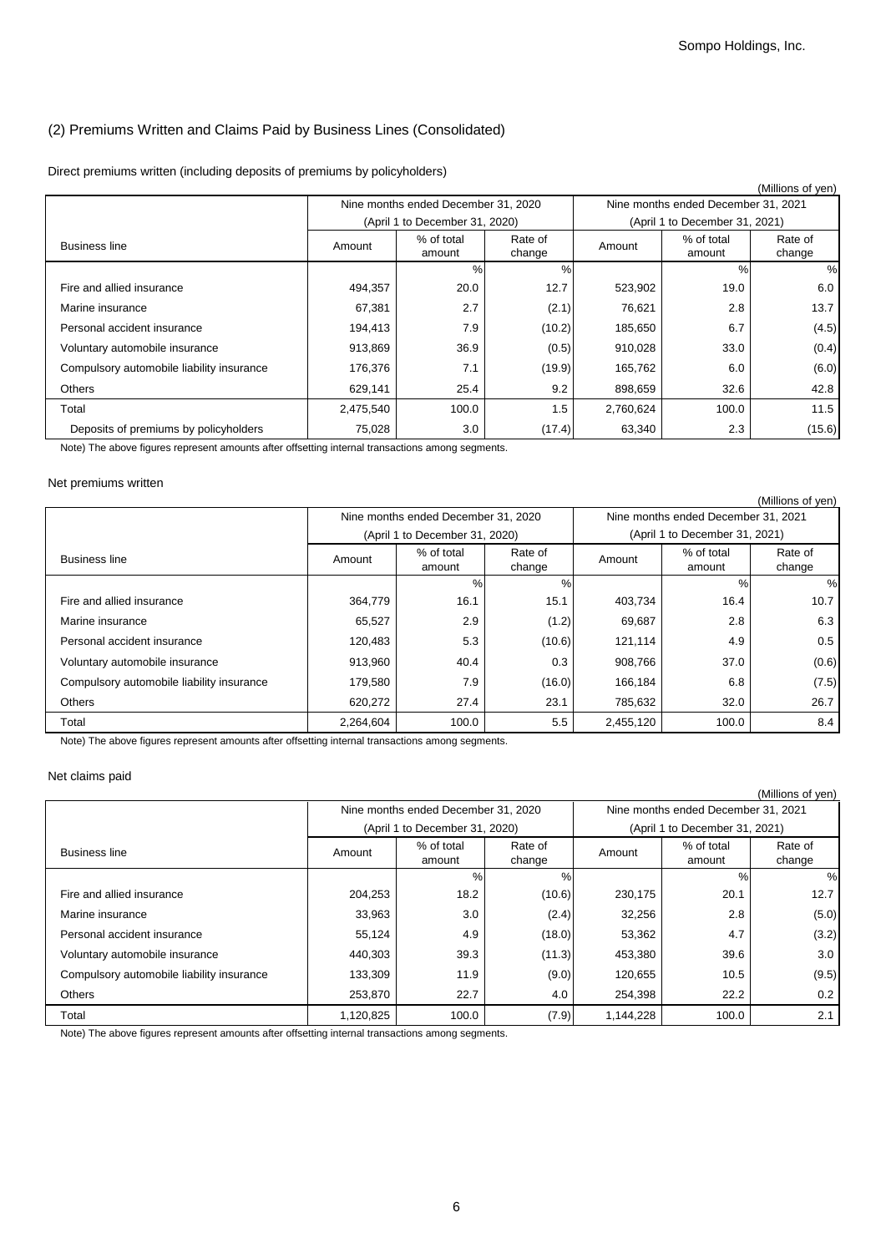## (2) Premiums Written and Claims Paid by Business Lines (Consolidated)

| Direct premiums written (including deposits of premiums by policyholders) |  |  |
|---------------------------------------------------------------------------|--|--|
|---------------------------------------------------------------------------|--|--|

| (Millions of yen)                         |                                                     |                                     |        |           |                                     |                   |
|-------------------------------------------|-----------------------------------------------------|-------------------------------------|--------|-----------|-------------------------------------|-------------------|
|                                           |                                                     | Nine months ended December 31, 2020 |        |           | Nine months ended December 31, 2021 |                   |
|                                           |                                                     | (April 1 to December 31, 2020)      |        |           | (April 1 to December 31, 2021)      |                   |
| <b>Business line</b>                      | % of total<br>Rate of<br>Amount<br>change<br>amount |                                     |        | Amount    | % of total<br>amount                | Rate of<br>change |
|                                           |                                                     | $\%$                                | %      |           | $\%$                                | %                 |
| Fire and allied insurance                 | 494,357                                             | 20.0                                | 12.7   | 523,902   | 19.0                                | 6.0               |
| Marine insurance                          | 67,381                                              | 2.7                                 | (2.1)  | 76,621    | 2.8                                 | 13.7              |
| Personal accident insurance               | 194,413                                             | 7.9                                 | (10.2) | 185,650   | 6.7                                 | (4.5)             |
| Voluntary automobile insurance            | 913,869                                             | 36.9                                | (0.5)  | 910,028   | 33.0                                | (0.4)             |
| Compulsory automobile liability insurance | 176,376                                             | 7.1                                 | (19.9) | 165,762   | 6.0                                 | (6.0)             |
| <b>Others</b>                             | 629,141                                             | 25.4                                | 9.2    | 898,659   | 32.6                                | 42.8              |
| Total                                     | 2,475,540                                           | 100.0                               | 1.5    | 2,760,624 | 100.0                               | 11.5              |
| Deposits of premiums by policyholders     | 75,028                                              | 3.0                                 | (17.4) | 63,340    | 2.3                                 | (15.6)            |

Note) The above figures represent amounts after offsetting internal transactions among segments.

#### Net premiums written

|                                           |                                                     |                                     |        |           |                                     | (Millions of yen) |
|-------------------------------------------|-----------------------------------------------------|-------------------------------------|--------|-----------|-------------------------------------|-------------------|
|                                           |                                                     | Nine months ended December 31, 2020 |        |           | Nine months ended December 31, 2021 |                   |
|                                           |                                                     | (April 1 to December 31, 2020)      |        |           | (April 1 to December 31, 2021)      |                   |
| <b>Business line</b>                      | % of total<br>Rate of<br>Amount<br>change<br>amount |                                     |        | Amount    | % of total<br>amount                | Rate of<br>change |
|                                           |                                                     | %<br>%                              |        |           | $\%$                                | %                 |
| Fire and allied insurance                 | 364,779                                             | 16.1                                | 15.1   | 403,734   | 16.4                                | 10.7              |
| Marine insurance                          | 65,527                                              | 2.9                                 | (1.2)  | 69,687    | 2.8                                 | 6.3               |
| Personal accident insurance               | 120,483                                             | 5.3                                 | (10.6) | 121,114   | 4.9                                 | 0.5               |
| Voluntary automobile insurance            | 913,960                                             | 40.4                                | 0.3    | 908.766   | 37.0                                | (0.6)             |
| Compulsory automobile liability insurance | 179,580                                             | 7.9                                 | (16.0) | 166,184   | 6.8                                 | (7.5)             |
| Others                                    | 620,272                                             | 27.4                                | 23.1   | 785,632   | 32.0                                | 26.7              |
| Total                                     | 2,264,604                                           | 100.0                               | 5.5    | 2,455,120 | 100.0                               | 8.4               |

Note) The above figures represent amounts after offsetting internal transactions among segments.

### Net claims paid

|                                           |                                                     |                                     |        |           |                                     | (Millions of yen) |
|-------------------------------------------|-----------------------------------------------------|-------------------------------------|--------|-----------|-------------------------------------|-------------------|
|                                           |                                                     | Nine months ended December 31, 2020 |        |           | Nine months ended December 31, 2021 |                   |
|                                           |                                                     | (April 1 to December 31, 2020)      |        |           | (April 1 to December 31, 2021)      |                   |
| <b>Business line</b>                      | % of total<br>Rate of<br>Amount<br>change<br>amount |                                     |        | Amount    | % of total<br>amount                | Rate of<br>change |
|                                           |                                                     | $\%$<br>%                           |        |           | $\%$                                | %                 |
| Fire and allied insurance                 | 204,253                                             | 18.2                                | (10.6) | 230,175   | 20.1                                | 12.7              |
| Marine insurance                          | 33,963                                              | 3.0                                 | (2.4)  | 32,256    | 2.8                                 | (5.0)             |
| Personal accident insurance               | 55,124                                              | 4.9                                 | (18.0) | 53,362    | 4.7                                 | (3.2)             |
| Voluntary automobile insurance            | 440,303                                             | 39.3                                | (11.3) | 453,380   | 39.6                                | 3.0               |
| Compulsory automobile liability insurance | 133,309                                             | 11.9                                | (9.0)  | 120,655   | 10.5                                | (9.5)             |
| Others                                    | 253,870                                             | 22.7                                | 4.0    | 254,398   | 22.2                                | 0.2               |
| Total                                     | 1,120,825                                           | 100.0                               | (7.9)  | 1,144,228 | 100.0                               | 2.1               |

Note) The above figures represent amounts after offsetting internal transactions among segments.